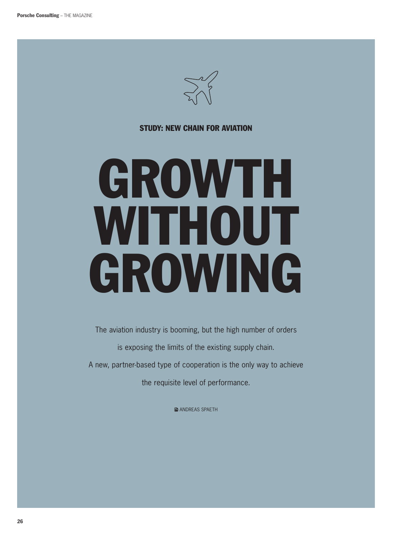

## Study: New Chain for aviation

## GROWTH WITHOUT GROWING

The aviation industry is booming, but the high number of orders is exposing the limits of the existing supply chain. A new, partner-based type of cooperation is the only way to achieve the requisite level of performance.

**■ ANDREAS SPAETH**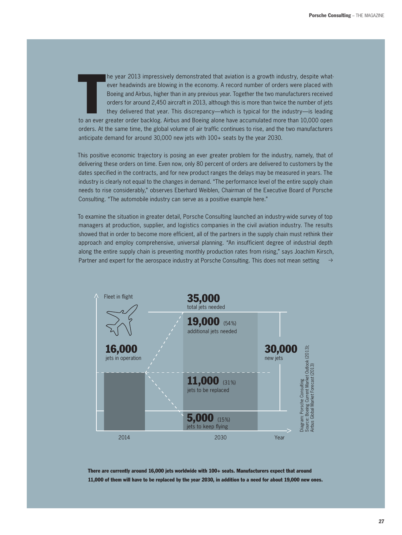to an ever headwinds are blowing in the economy. A record number of orders were placed with<br>Boeing and Airbus, higher than in any previous year. Together the two manufacturers received<br>orders for around 2,450 aircraft in 2 he year 2013 impressively demonstrated that aviation is a growth industry, despite whatever headwinds are blowing in the economy. A record number of orders were placed with Boeing and Airbus, higher than in any previous year. together the two manufacturers received orders for around 2,450 aircraft in 2013, although this is more than twice the number of jets they delivered that year. This discrepancy—which is typical for the industry—is leading orders. At the same time, the global volume of air traffic continues to rise, and the two manufacturers anticipate demand for around 30,000 new jets with 100+ seats by the year 2030.

This positive economic trajectory is posing an ever greater problem for the industry, namely, that of delivering these orders on time. Even now, only 80 percent of orders are delivered to customers by the dates specified in the contracts, and for new product ranges the delays may be measured in years. the industry is clearly not equal to the changes in demand. "The performance level of the entire supply chain needs to rise considerably," observes Eberhard Weiblen, Chairman of the Executive Board of Porsche Consulting. "The automobile industry can serve as a positive example here."

To examine the situation in greater detail, Porsche Consulting launched an industry-wide survey of top managers at production, supplier, and logistics companies in the civil aviation industry. the results showed that in order to become more efficient, all of the partners in the supply chain must rethink their approach and employ comprehensive, universal planning. "An insufficient degree of industrial depth along the entire supply chain is preventing monthly production rates from rising," says Joachim Kirsch, Partner and expert for the aerospace industry at Porsche Consulting. This does not mean setting  $\rightarrow$ 



there are currently around 16,000 jets worldwide with 100+ seats. manufacturers expect that around 11,000 of them will have to be replaced by the year 2030, in addition to a need for about 19,000 new ones.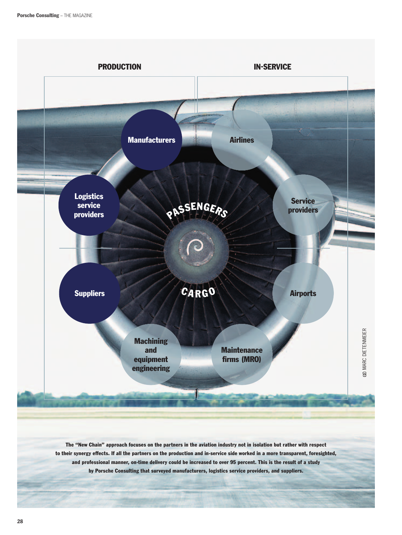